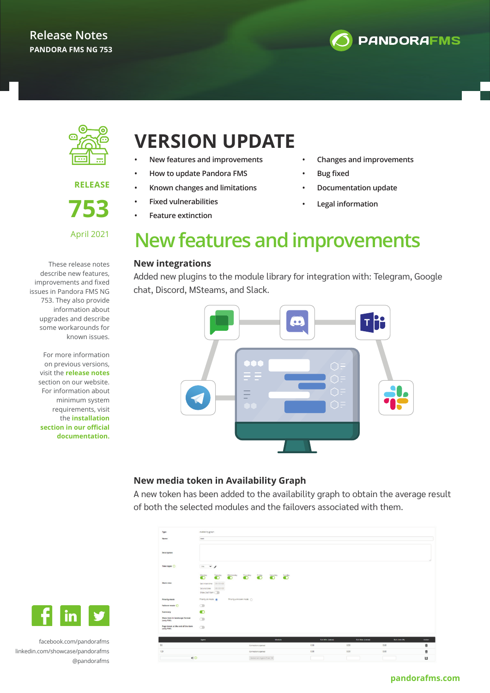



**RELEASE 753**

April 2021

These release notes describe new features, improvements and fixed issues in Pandora FMS NG 753. They also provide information about upgrades and describe some workarounds for known issues.

For more information on previous versions, visit the **release notes** section on our website. For information about minimum system requirements, visit the **installation section in our official documentation.**

### **VERSION UPDATE**

- **• New features and improvements**
- **• How to update Pandora FMS**
- **• Known changes and limitations**
- **• Fixed vulnerabilities**
	- **• Feature extinction**
- **• Changes and improvements**
- **• Bug fixed**
- **• Documentation update**
- **• Legal information**

### **New features and improvements**

#### **New integrations**

Added new plugins to the module library for integration with: Telegram, Google chat, Discord, MSteams, and Slack.



#### **New media token in Availability Graph**

A new token has been added to the availability graph to obtain the average result of both the selected modules and the failovers associated with them.

| Type                                            | Availability graph                                                                                                |                                    |                                                               |      |                  |                         |               |               |
|-------------------------------------------------|-------------------------------------------------------------------------------------------------------------------|------------------------------------|---------------------------------------------------------------|------|------------------|-------------------------|---------------|---------------|
| Name                                            | test                                                                                                              |                                    |                                                               |      |                  |                         |               |               |
| Description                                     |                                                                                                                   |                                    |                                                               |      |                  |                         |               |               |
| Time lapse (                                    | $\sim$ 1<br>$1$ dey                                                                                               |                                    |                                                               |      |                  |                         |               |               |
| Work time                                       | Monday<br>Tuesday.<br>O<br>$\bullet$<br>00:00:00<br>Set initial time<br>00:00:00<br>Set end time<br>Show 24x7 hem | Wednesday<br>Thursday<br>$\bullet$ | <b><i><u>Friday</u></i></b><br>Saturday<br><u>O</u><br>Sunday |      |                  |                         |               |               |
| <b>Priority mode</b>                            | Priority ok mode @                                                                                                | Priority unknown mode ()           |                                                               |      |                  |                         |               |               |
| Fallover mode (                                 | $\circ$                                                                                                           |                                    |                                                               |      |                  |                         |               |               |
| Summary                                         | $\bullet$                                                                                                         |                                    |                                                               |      |                  |                         |               |               |
| Show item in landscape format<br>(only PDF)     | $\circ$                                                                                                           |                                    |                                                               |      |                  |                         |               |               |
| Page break at the end of the item<br>(only PDF) | $\subset$                                                                                                         |                                    |                                                               |      |                  |                         |               |               |
|                                                 | Agent                                                                                                             |                                    | Module                                                        |      | SLA Min. (value) | <b>SLA Max. (value)</b> | SLA Limit (%) | <b>Action</b> |
| 80 <sub>1</sub>                                 |                                                                                                                   | Connections opened                 |                                                               | 0.00 |                  | 0.00                    | 0.00          | ŵ             |
| 129                                             |                                                                                                                   | Connections opened                 |                                                               | 0.00 |                  | 0.00                    | 0.00          | Ū             |
| $\odot$                                         |                                                                                                                   |                                    | Selection Agent first V                                       |      |                  |                         |               | H             |



facebook.com/pandorafms linkedin.com/showcase/pandorafms @pandorafms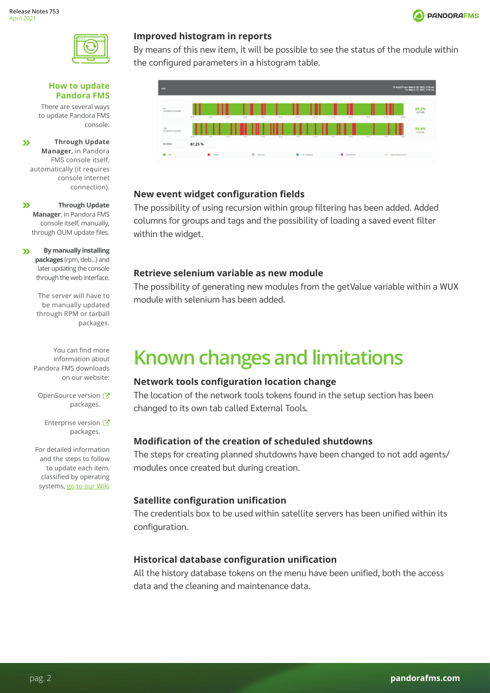



#### **How to update Pandora FMS**

There are several ways to update Pandora FMS console:

**Through Update**   $\mathbf{v}$ **Manager**, in Pandora FMS console itself, automatically (it requires console internet connection).

 $\mathbf{v}$ **Through Update Manager**, in Pandora FMS console itself, manually, through OUM update files.

**By manually installing**   $\mathbf{v}$ **packages** (rpm, deb...) and later updating the console through the web interface.

> The server will have to be manually updated through RPM or tarball packages.

You can find more information about Pandora FMS downloads on our website:

OpenSource version packages.

Enterprise version packages.

For detailed information and the steps to follow to update each item, classified by operating systems, go to our Wiki

#### **Improved histogram in reports**

By means of this new item, it will be possible to see the status of the module within the configured parameters in a histogram table.



#### **New event widget configuration fields**

The possibility of using recursion within group filtering has been added. Added columns for groups and tags and the possibility of loading a saved event filter within the widget.

#### **Retrieve selenium variable as new module**

The possibility of generating new modules from the getValue variable within a WUX module with selenium has been added.

# **Known changes and limitations**

### **Network tools configuration location change**

The location of the network tools tokens found in the setup section has been changed to its own tab called External Tools.

### **Modification of the creation of scheduled shutdowns**

The steps for creating planned shutdowns have been changed to not add agents/ modules once created but during creation.

### **Satellite configuration unification**

The credentials box to be used within satellite servers has been unified within its configuration.

### **Historical database configuration unification**

All the history database tokens on the menu have been unified, both the access data and the cleaning and maintenance data.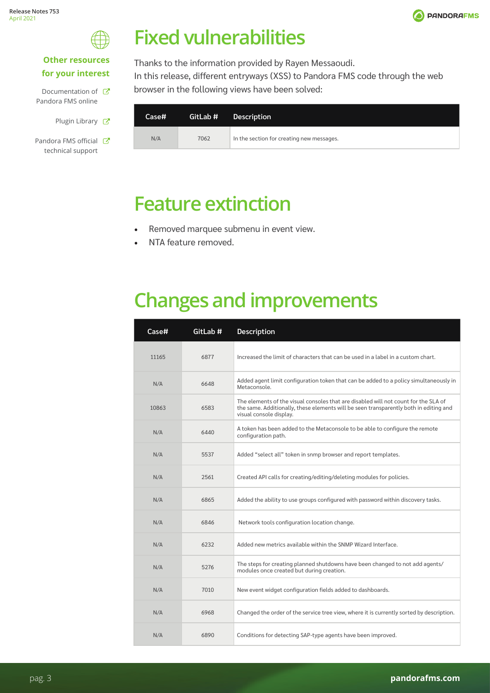



### **Other resources for your interest**

| Documentation of <b>K</b> |  |
|---------------------------|--|
| Pandora FMS online        |  |

- Plugin Library &
- Pandora FMS official **T** technical support

## **Fixed vulnerabilities**

Thanks to the information provided by Rayen Messaoudi. In this release, different entryways (XSS) to Pandora FMS code through the web browser in the following views have been solved:

| Case# | GitLab # | <b>Description</b>                        |
|-------|----------|-------------------------------------------|
| N/A   | 7062     | In the section for creating new messages. |

### **Feature extinction**

- Removed marquee submenu in event view.
- NTA feature removed.

# **Changes and improvements**

| Case# | GitLab # | <b>Description</b>                                                                                                                                                                                      |
|-------|----------|---------------------------------------------------------------------------------------------------------------------------------------------------------------------------------------------------------|
| 11165 | 6877     | Increased the limit of characters that can be used in a label in a custom chart.                                                                                                                        |
| N/A   | 6648     | Added agent limit configuration token that can be added to a policy simultaneously in<br>Metaconsole.                                                                                                   |
| 10863 | 6583     | The elements of the visual consoles that are disabled will not count for the SLA of<br>the same. Additionally, these elements will be seen transparently both in editing and<br>visual console display. |
| N/A   | 6440     | A token has been added to the Metaconsole to be able to configure the remote<br>configuration path.                                                                                                     |
| N/A   | 5537     | Added "select all" token in snmp browser and report templates.                                                                                                                                          |
| N/A   | 2561     | Created API calls for creating/editing/deleting modules for policies.                                                                                                                                   |
| N/A   | 6865     | Added the ability to use groups configured with password within discovery tasks.                                                                                                                        |
| N/A   | 6846     | Network tools configuration location change.                                                                                                                                                            |
| N/A   | 6232     | Added new metrics available within the SNMP Wizard Interface.                                                                                                                                           |
| N/A   | 5276     | The steps for creating planned shutdowns have been changed to not add agents/<br>modules once created but during creation.                                                                              |
| N/A   | 7010     | New event widget configuration fields added to dashboards.                                                                                                                                              |
| N/A   | 6968     | Changed the order of the service tree view, where it is currently sorted by description.                                                                                                                |
| N/A   | 6890     | Conditions for detecting SAP-type agents have been improved.                                                                                                                                            |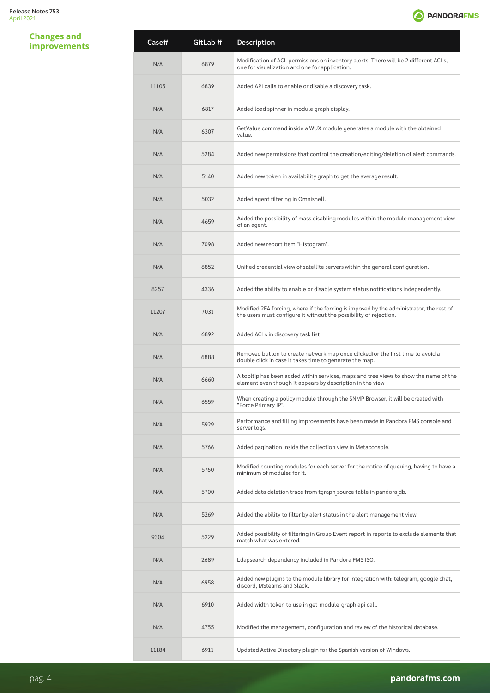### **Changes and**



| <b>Changes and</b><br><b>improvements</b> | Case# | GitLab # | Description                                                                                                                                                  |
|-------------------------------------------|-------|----------|--------------------------------------------------------------------------------------------------------------------------------------------------------------|
|                                           | N/A   | 6879     | Modification of ACL permissions on inventory alerts. There will be 2 different ACLs,<br>one for visualization and one for application.                       |
|                                           | 11105 | 6839     | Added API calls to enable or disable a discovery task.                                                                                                       |
|                                           | N/A   | 6817     | Added load spinner in module graph display.                                                                                                                  |
|                                           | N/A   | 6307     | GetValue command inside a WUX module generates a module with the obtained<br>value.                                                                          |
|                                           | N/A   | 5284     | Added new permissions that control the creation/editing/deletion of alert commands.                                                                          |
|                                           | N/A   | 5140     | Added new token in availability graph to get the average result.                                                                                             |
|                                           | N/A   | 5032     | Added agent filtering in Omnishell.                                                                                                                          |
|                                           | N/A   | 4659     | Added the possibility of mass disabling modules within the module management view<br>of an agent.                                                            |
|                                           | N/A   | 7098     | Added new report item "Histogram".                                                                                                                           |
|                                           | N/A   | 6852     | Unified credential view of satellite servers within the general configuration.                                                                               |
|                                           | 8257  | 4336     | Added the ability to enable or disable system status notifications independently.                                                                            |
|                                           | 11207 | 7031     | Modified 2FA forcing, where if the forcing is imposed by the administrator, the rest of<br>the users must configure it without the possibility of rejection. |
|                                           | N/A   | 6892     | Added ACLs in discovery task list                                                                                                                            |
|                                           | N/A   | 6888     | Removed button to create network map once clickedfor the first time to avoid a<br>double click in case it takes time to generate the map.                    |
|                                           | N/A   | 6660     | A tooltip has been added within services, maps and tree views to show the name of the<br>element even though it appears by description in the view           |
|                                           | N/A   | 6559     | When creating a policy module through the SNMP Browser, it will be created with<br>"Force Primary IP".                                                       |
|                                           | N/A   | 5929     | Performance and filling improvements have been made in Pandora FMS console and<br>server logs.                                                               |
|                                           | N/A   | 5766     | Added pagination inside the collection view in Metaconsole.                                                                                                  |
|                                           | N/A   | 5760     | Modified counting modules for each server for the notice of queuing, having to have a<br>minimum of modules for it.                                          |
|                                           | N/A   | 5700     | Added data deletion trace from tgraph source table in pandora db.                                                                                            |
|                                           | N/A   | 5269     | Added the ability to filter by alert status in the alert management view.                                                                                    |
|                                           | 9304  | 5229     | Added possibility of filtering in Group Event report in reports to exclude elements that<br>match what was entered.                                          |
|                                           | N/A   | 2689     | Ldapsearch dependency included in Pandora FMS ISO.                                                                                                           |
|                                           | N/A   | 6958     | Added new plugins to the module library for integration with: telegram, google chat,<br>discord, MSteams and Slack.                                          |
|                                           | N/A   | 6910     | Added width token to use in get module graph api call.                                                                                                       |
|                                           | N/A   | 4755     | Modified the management, configuration and review of the historical database.                                                                                |
|                                           | 11184 | 6911     | Updated Active Directory plugin for the Spanish version of Windows.                                                                                          |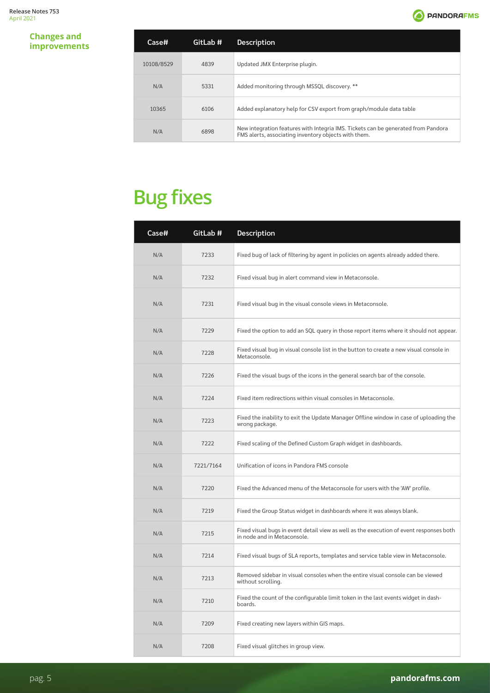#### **Changes and**   $improvements$

| Case#      | GitLab # | <b>Description</b>                                                                                                                        |
|------------|----------|-------------------------------------------------------------------------------------------------------------------------------------------|
| 10108/8529 | 4839     | Updated JMX Enterprise plugin.                                                                                                            |
| N/A        | 5331     | Added monitoring through MSSQL discovery. **                                                                                              |
| 10365      | 6106     | Added explanatory help for CSV export from graph/module data table                                                                        |
| N/A        | 6898     | New integration features with Integria IMS. Tickets can be generated from Pandora<br>FMS alerts, associating inventory objects with them. |

# **Bug fixes**

| Case# | GitLab #  | <b>Description</b>                                                                                                     |
|-------|-----------|------------------------------------------------------------------------------------------------------------------------|
| N/A   | 7233      | Fixed bug of lack of filtering by agent in policies on agents already added there.                                     |
| N/A   | 7232      | Fixed visual bug in alert command view in Metaconsole.                                                                 |
| N/A   | 7231      | Fixed visual bug in the visual console views in Metaconsole.                                                           |
| N/A   | 7229      | Fixed the option to add an SQL query in those report items where it should not appear.                                 |
| N/A   | 7228      | Fixed visual bug in visual console list in the button to create a new visual console in<br>Metaconsole.                |
| N/A   | 7226      | Fixed the visual bugs of the icons in the general search bar of the console.                                           |
| N/A   | 7224      | Fixed item redirections within visual consoles in Metaconsole.                                                         |
| N/A   | 7223      | Fixed the inability to exit the Update Manager Offline window in case of uploading the<br>wrong package.               |
| N/A   | 7222      | Fixed scaling of the Defined Custom Graph widget in dashboards.                                                        |
| N/A   | 7221/7164 | Unification of icons in Pandora FMS console                                                                            |
| N/A   | 7220      | Fixed the Advanced menu of the Metaconsole for users with the 'AW' profile.                                            |
| N/A   | 7219      | Fixed the Group Status widget in dashboards where it was always blank.                                                 |
| N/A   | 7215      | Fixed visual bugs in event detail view as well as the execution of event responses both<br>in node and in Metaconsole. |
| N/A   | 7214      | Fixed visual bugs of SLA reports, templates and service table view in Metaconsole.                                     |
| N/A   | 7213      | Removed sidebar in visual consoles when the entire visual console can be viewed<br>without scrolling.                  |
| N/A   | 7210      | Fixed the count of the configurable limit token in the last events widget in dash-<br>boards.                          |
| N/A   | 7209      | Fixed creating new layers within GIS maps.                                                                             |
| N/A   | 7208      | Fixed visual glitches in group view.                                                                                   |

pag. 5 **pandorafms.com**

**O** PANDORAFMS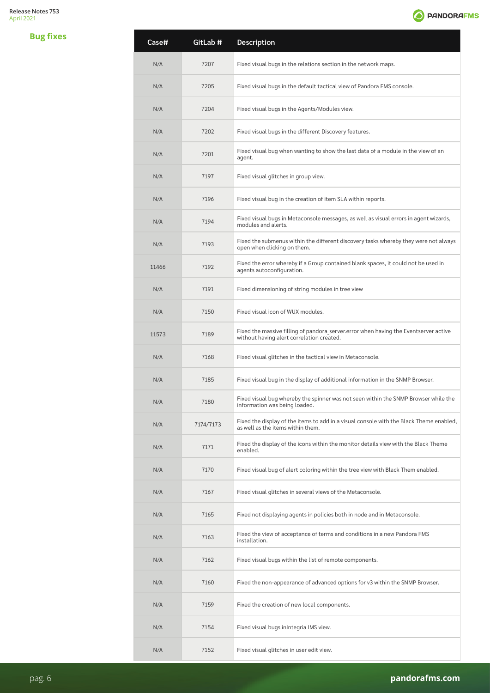

| <b>Bug fixes</b> | Case# | GitLab #  | Description                                                                                                                       |
|------------------|-------|-----------|-----------------------------------------------------------------------------------------------------------------------------------|
|                  | N/A   | 7207      | Fixed visual bugs in the relations section in the network maps.                                                                   |
|                  | N/A   | 7205      | Fixed visual bugs in the default tactical view of Pandora FMS console.                                                            |
|                  | N/A   | 7204      | Fixed visual bugs in the Agents/Modules view.                                                                                     |
|                  | N/A   | 7202      | Fixed visual bugs in the different Discovery features.                                                                            |
|                  | N/A   | 7201      | Fixed visual bug when wanting to show the last data of a module in the view of an<br>agent.                                       |
|                  | N/A   | 7197      | Fixed visual glitches in group view.                                                                                              |
|                  | N/A   | 7196      | Fixed visual bug in the creation of item SLA within reports.                                                                      |
|                  | N/A   | 7194      | Fixed visual bugs in Metaconsole messages, as well as visual errors in agent wizards,<br>modules and alerts.                      |
|                  | N/A   | 7193      | Fixed the submenus within the different discovery tasks whereby they were not always<br>open when clicking on them.               |
|                  | 11466 | 7192      | Fixed the error whereby if a Group contained blank spaces, it could not be used in<br>agents autoconfiguration.                   |
|                  | N/A   | 7191      | Fixed dimensioning of string modules in tree view                                                                                 |
|                  | N/A   | 7150      | Fixed visual icon of WUX modules.                                                                                                 |
|                  | 11573 | 7189      | Fixed the massive filling of pandora_server.error when having the Eventserver active<br>without having alert correlation created. |
|                  | N/A   | 7168      | Fixed visual glitches in the tactical view in Metaconsole.                                                                        |
|                  | N/A   | 7185      | Fixed visual bug in the display of additional information in the SNMP Browser.                                                    |
|                  | N/A   | 7180      | Fixed visual bug whereby the spinner was not seen within the SNMP Browser while the<br>information was being loaded.              |
|                  | N/A   | 7174/7173 | Fixed the display of the items to add in a visual console with the Black Theme enabled,<br>as well as the items within them.      |
|                  | N/A   | 7171      | Fixed the display of the icons within the monitor details view with the Black Theme<br>enabled.                                   |
|                  | N/A   | 7170      | Fixed visual bug of alert coloring within the tree view with Black Them enabled.                                                  |
|                  | N/A   | 7167      | Fixed visual glitches in several views of the Metaconsole.                                                                        |
|                  | N/A   | 7165      | Fixed not displaying agents in policies both in node and in Metaconsole.                                                          |
|                  | N/A   | 7163      | Fixed the view of acceptance of terms and conditions in a new Pandora FMS<br>installation.                                        |
|                  | N/A   | 7162      | Fixed visual bugs within the list of remote components.                                                                           |
|                  | N/A   | 7160      | Fixed the non-appearance of advanced options for v3 within the SNMP Browser.                                                      |
|                  | N/A   | 7159      | Fixed the creation of new local components.                                                                                       |
|                  | N/A   | 7154      | Fixed visual bugs inIntegria IMS view.                                                                                            |
|                  | N/A   | 7152      | Fixed visual glitches in user edit view.                                                                                          |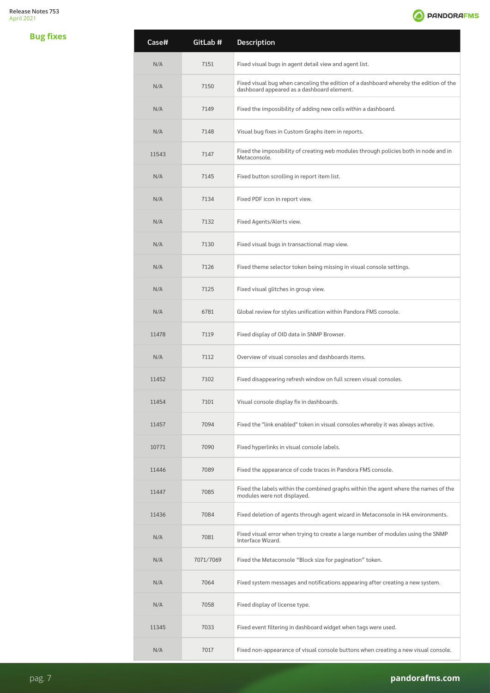

| <b>Bug fixes</b> | Case# | GitLab #  | Description                                                                                                                         |
|------------------|-------|-----------|-------------------------------------------------------------------------------------------------------------------------------------|
|                  | N/A   | 7151      | Fixed visual bugs in agent detail view and agent list.                                                                              |
|                  | N/A   | 7150      | Fixed visual bug when canceling the edition of a dashboard whereby the edition of the<br>dashboard appeared as a dashboard element. |
|                  | N/A   | 7149      | Fixed the impossibility of adding new cells within a dashboard.                                                                     |
|                  | N/A   | 7148      | Visual bug fixes in Custom Graphs item in reports.                                                                                  |
|                  | 11543 | 7147      | Fixed the impossibility of creating web modules through policies both in node and in<br>Metaconsole.                                |
|                  | N/A   | 7145      | Fixed button scrolling in report item list.                                                                                         |
|                  | N/A   | 7134      | Fixed PDF icon in report view.                                                                                                      |
|                  | N/A   | 7132      | Fixed Agents/Alerts view.                                                                                                           |
|                  | N/A   | 7130      | Fixed visual bugs in transactional map view.                                                                                        |
|                  | N/A   | 7126      | Fixed theme selector token being missing in visual console settings.                                                                |
|                  | N/A   | 7125      | Fixed visual glitches in group view.                                                                                                |
|                  | N/A   | 6781      | Global review for styles unification within Pandora FMS console.                                                                    |
|                  | 11478 | 7119      | Fixed display of OID data in SNMP Browser.                                                                                          |
|                  | N/A   | 7112      | Overview of visual consoles and dashboards items.                                                                                   |
|                  | 11452 | 7102      | Fixed disappearing refresh window on full screen visual consoles.                                                                   |
|                  | 11454 | 7101      | Visual console display fix in dashboards.                                                                                           |
|                  | 11457 | 7094      | Fixed the "link enabled" token in visual consoles whereby it was always active.                                                     |
|                  | 10771 | 7090      | Fixed hyperlinks in visual console labels.                                                                                          |
|                  | 11446 | 7089      | Fixed the appearance of code traces in Pandora FMS console.                                                                         |
|                  | 11447 | 7085      | Fixed the labels within the combined graphs within the agent where the names of the<br>modules were not displayed.                  |
|                  | 11436 | 7084      | Fixed deletion of agents through agent wizard in Metaconsole in HA environments.                                                    |
|                  | N/A   | 7081      | Fixed visual error when trying to create a large number of modules using the SNMP<br>Interface Wizard.                              |
|                  | N/A   | 7071/7069 | Fixed the Metaconsole "Block size for pagination" token.                                                                            |
|                  | N/A   | 7064      | Fixed system messages and notifications appearing after creating a new system.                                                      |
|                  | N/A   | 7058      | Fixed display of license type.                                                                                                      |
|                  | 11345 | 7033      | Fixed event filtering in dashboard widget when tags were used.                                                                      |
|                  | N/A   | 7017      | Fixed non-appearance of visual console buttons when creating a new visual console.                                                  |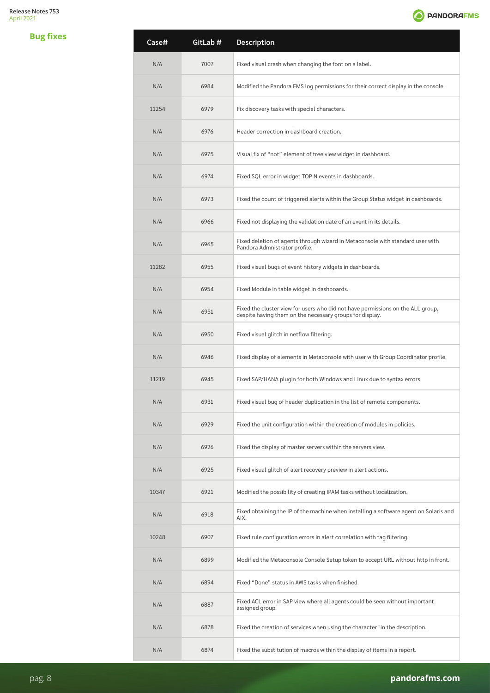

| <b>Bug fixes</b> | Case# | GitLab # | Description                                                                                                                                 |
|------------------|-------|----------|---------------------------------------------------------------------------------------------------------------------------------------------|
|                  | N/A   | 7007     | Fixed visual crash when changing the font on a label.                                                                                       |
|                  | N/A   | 6984     | Modified the Pandora FMS log permissions for their correct display in the console.                                                          |
|                  | 11254 | 6979     | Fix discovery tasks with special characters.                                                                                                |
|                  | N/A   | 6976     | Header correction in dashboard creation.                                                                                                    |
|                  | N/A   | 6975     | Visual fix of "not" element of tree view widget in dashboard.                                                                               |
|                  | N/A   | 6974     | Fixed SQL error in widget TOP N events in dashboards.                                                                                       |
|                  | N/A   | 6973     | Fixed the count of triggered alerts within the Group Status widget in dashboards.                                                           |
|                  | N/A   | 6966     | Fixed not displaying the validation date of an event in its details.                                                                        |
|                  | N/A   | 6965     | Fixed deletion of agents through wizard in Metaconsole with standard user with<br>Pandora Admnistrator profile.                             |
|                  | 11282 | 6955     | Fixed visual bugs of event history widgets in dashboards.                                                                                   |
|                  | N/A   | 6954     | Fixed Module in table widget in dashboards.                                                                                                 |
|                  | N/A   | 6951     | Fixed the cluster view for users who did not have permissions on the ALL group,<br>despite having them on the necessary groups for display. |
|                  | N/A   | 6950     | Fixed visual glitch in netflow filtering.                                                                                                   |
|                  | N/A   | 6946     | Fixed display of elements in Metaconsole with user with Group Coordinator profile.                                                          |
|                  | 11219 | 6945     | Fixed SAP/HANA plugin for both Windows and Linux due to syntax errors.                                                                      |
|                  | N/A   | 6931     | Fixed visual bug of header duplication in the list of remote components.                                                                    |
|                  | N/A   | 6929     | Fixed the unit configuration within the creation of modules in policies.                                                                    |
|                  | N/A   | 6926     | Fixed the display of master servers within the servers view.                                                                                |
|                  | N/A   | 6925     | Fixed visual glitch of alert recovery preview in alert actions.                                                                             |
|                  | 10347 | 6921     | Modified the possibility of creating IPAM tasks without localization.                                                                       |
|                  | N/A   | 6918     | Fixed obtaining the IP of the machine when installing a software agent on Solaris and<br>AIX.                                               |
|                  | 10248 | 6907     | Fixed rule configuration errors in alert correlation with tag filtering.                                                                    |
|                  | N/A   | 6899     | Modified the Metaconsole Console Setup token to accept URL without http in front.                                                           |
|                  | N/A   | 6894     | Fixed "Done" status in AWS tasks when finished.                                                                                             |
|                  | N/A   | 6887     | Fixed ACL error in SAP view where all agents could be seen without important<br>assigned group.                                             |
|                  | N/A   | 6878     | Fixed the creation of services when using the character "in the description.                                                                |
|                  | N/A   | 6874     | Fixed the substitution of macros within the display of items in a report.                                                                   |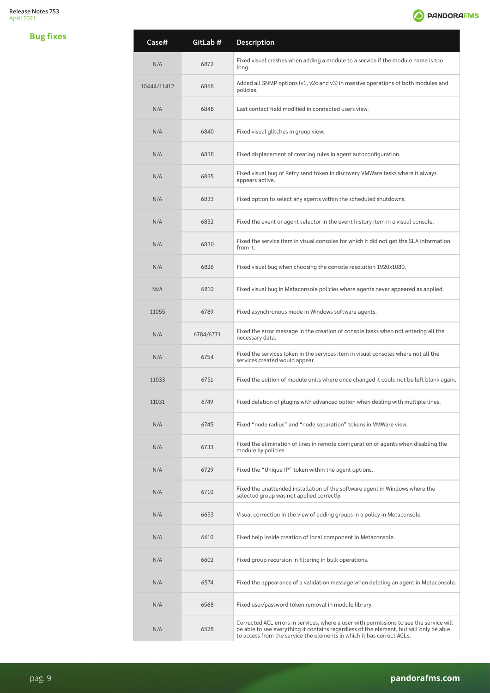**Bug fixes**



| Case#       | GitLab #  | Description                                                                                                                                                                                                                                                |
|-------------|-----------|------------------------------------------------------------------------------------------------------------------------------------------------------------------------------------------------------------------------------------------------------------|
| N/A         | 6872      | Fixed visual crashes when adding a module to a service if the module name is too<br>long.                                                                                                                                                                  |
| 10444/11412 | 6868      | Added all SNMP options (v1, v2c and v3) in massive operations of both modules and<br>policies.                                                                                                                                                             |
| N/A         | 6848      | Last contact field modified in connected users view.                                                                                                                                                                                                       |
| N/A         | 6840      | Fixed visual glitches in group view.                                                                                                                                                                                                                       |
| N/A         | 6838      | Fixed displacement of creating rules in agent autoconfiguration.                                                                                                                                                                                           |
| N/A         | 6835      | Fixed visual bug of Retry send token in discovery VMWare tasks where it always<br>appears active.                                                                                                                                                          |
| N/A         | 6833      | Fixed option to select any agents within the scheduled shutdowns.                                                                                                                                                                                          |
| N/A         | 6832      | Fixed the event or agent selector in the event history item in a visual console.                                                                                                                                                                           |
| N/A         | 6830      | Fixed the service item in visual consoles for which it did not get the SLA information<br>from it.                                                                                                                                                         |
| N/A         | 6826      | Fixed visual bug when choosing the console resolution 1920x1080.                                                                                                                                                                                           |
| M/A         | 6810      | Fixed visual bug in Metaconsole policies where agents never appeared as applied.                                                                                                                                                                           |
| 11055       | 6789      | Fixed asynchronous mode in Windows software agents.                                                                                                                                                                                                        |
| N/A         | 6784/6771 | Fixed the error message in the creation of console tasks when not entering all the<br>necessary data.                                                                                                                                                      |
| N/A         | 6754      | Fixed the services token in the services item in visual consoles where not all the<br>services created would appear.                                                                                                                                       |
| 11033       | 6751      | Fixed the edition of module units where once changed it could not be left blank again.                                                                                                                                                                     |
| 11031       | 6749      | Fixed deletion of plugins with advanced option when dealing with multiple lines.                                                                                                                                                                           |
| N/A         | 6745      | Fixed "node radius" and "node separation" tokens in VMWare view.                                                                                                                                                                                           |
| N/A         | 6733      | Fixed the elimination of lines in remote configuration of agents when disabling the<br>module by policies.                                                                                                                                                 |
| N/A         | 6729      | Fixed the "Unique IP" token within the agent options.                                                                                                                                                                                                      |
| N/A         | 6710      | Fixed the unattended installation of the software agent in Windows where the<br>selected group was not applied correctly.                                                                                                                                  |
| N/A         | 6633      | Visual correction in the view of adding groups in a policy in Metaconsole.                                                                                                                                                                                 |
| N/A         | 6610      | Fixed help inside creation of local component in Metaconsole.                                                                                                                                                                                              |
| N/A         | 6602      | Fixed group recursion in filtering in bulk operations.                                                                                                                                                                                                     |
| N/A         | 6574      | Fixed the appearance of a validation message when deleting an agent in Metaconsole.                                                                                                                                                                        |
| N/A         | 6568      | Fixed user/password token removal in module library.                                                                                                                                                                                                       |
| N/A         | 6528      | Corrected ACL errors in services, where a user with permissions to see the service will<br>be able to see everything it contains regardless of the element, but will only be able<br>to access from the service the elements in which it has correct ACLs. |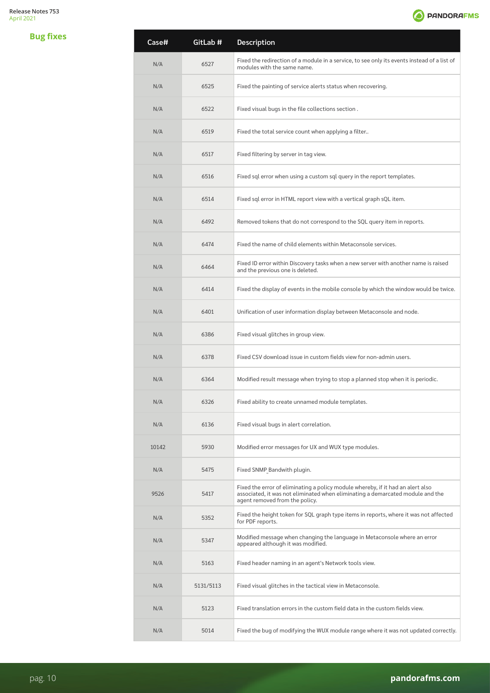**Bug fixes**



| Case# | GitLab #  | Description                                                                                                                                                                                         |
|-------|-----------|-----------------------------------------------------------------------------------------------------------------------------------------------------------------------------------------------------|
| N/A   | 6527      | Fixed the redirection of a module in a service, to see only its events instead of a list of<br>modules with the same name.                                                                          |
| N/A   | 6525      | Fixed the painting of service alerts status when recovering.                                                                                                                                        |
| N/A   | 6522      | Fixed visual bugs in the file collections section.                                                                                                                                                  |
| N/A   | 6519      | Fixed the total service count when applying a filter                                                                                                                                                |
| N/A   | 6517      | Fixed filtering by server in tag view.                                                                                                                                                              |
| N/A   | 6516      | Fixed sql error when using a custom sql query in the report templates.                                                                                                                              |
| N/A   | 6514      | Fixed sql error in HTML report view with a vertical graph sQL item.                                                                                                                                 |
| N/A   | 6492      | Removed tokens that do not correspond to the SQL query item in reports.                                                                                                                             |
| N/A   | 6474      | Fixed the name of child elements within Metaconsole services.                                                                                                                                       |
| N/A   | 6464      | Fixed ID error within Discovery tasks when a new server with another name is raised<br>and the previous one is deleted.                                                                             |
| N/A   | 6414      | Fixed the display of events in the mobile console by which the window would be twice.                                                                                                               |
| N/A   | 6401      | Unification of user information display between Metaconsole and node.                                                                                                                               |
| N/A   | 6386      | Fixed visual glitches in group view.                                                                                                                                                                |
| N/A   | 6378      | Fixed CSV download issue in custom fields view for non-admin users.                                                                                                                                 |
| N/A   | 6364      | Modified result message when trying to stop a planned stop when it is periodic.                                                                                                                     |
| N/A   | 6326      | Fixed ability to create unnamed module templates.                                                                                                                                                   |
| N/A   | 6136      | Fixed visual bugs in alert correlation.                                                                                                                                                             |
| 10142 | 5930      | Modified error messages for UX and WUX type modules.                                                                                                                                                |
| N/A   | 5475      | Fixed SNMP Bandwith plugin.                                                                                                                                                                         |
| 9526  | 5417      | Fixed the error of eliminating a policy module whereby, if it had an alert also<br>associated, it was not eliminated when eliminating a demarcated module and the<br>agent removed from the policy. |
| N/A   | 5352      | Fixed the height token for SQL graph type items in reports, where it was not affected<br>for PDF reports.                                                                                           |
| N/A   | 5347      | Modified message when changing the language in Metaconsole where an error<br>appeared although it was modified.                                                                                     |
| N/A   | 5163      | Fixed header naming in an agent's Network tools view.                                                                                                                                               |
| N/A   | 5131/5113 | Fixed visual glitches in the tactical view in Metaconsole.                                                                                                                                          |
| N/A   | 5123      | Fixed translation errors in the custom field data in the custom fields view.                                                                                                                        |
| N/A   | 5014      | Fixed the bug of modifying the WUX module range where it was not updated correctly.                                                                                                                 |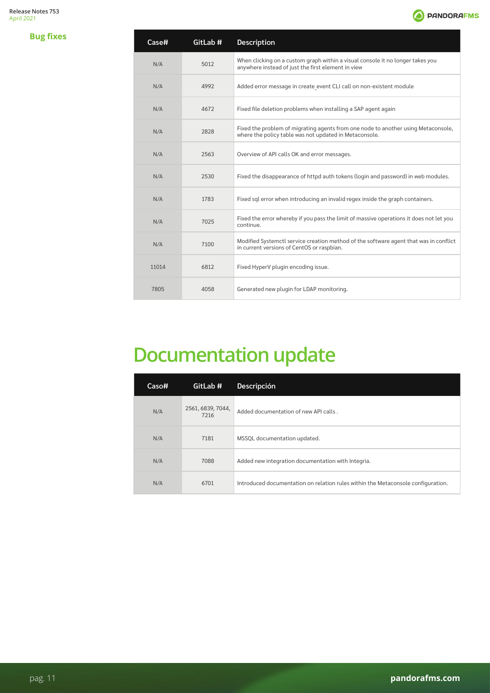**Bug fixes**



| Case# | GitLab # | <b>Description</b>                                                                                                                          |
|-------|----------|---------------------------------------------------------------------------------------------------------------------------------------------|
| N/A   | 5012     | When clicking on a custom graph within a visual console it no longer takes you<br>anywhere instead of just the first element in view        |
| N/A   | 4992     | Added error message in create event CLI call on non-existent module                                                                         |
| N/A   | 4672     | Fixed file deletion problems when installing a SAP agent again                                                                              |
| N/A   | 2828     | Fixed the problem of migrating agents from one node to another using Metaconsole,<br>where the policy table was not updated in Metaconsole. |
| N/A   | 2563     | Overview of API calls OK and error messages.                                                                                                |
| N/A   | 2530     | Fixed the disappearance of httpd auth tokens (login and password) in web modules.                                                           |
| N/A   | 1783     | Fixed sql error when introducing an invalid regex inside the graph containers.                                                              |
| N/A   | 7025     | Fixed the error whereby if you pass the limit of massive operations it does not let you<br>continue.                                        |
| N/A   | 7100     | Modified Systemctl service creation method of the software agent that was in conflict<br>in current versions of CentOS or raspbian.         |
| 11014 | 6812     | Fixed HyperV plugin encoding issue.                                                                                                         |
| 7805  | 4058     | Generated new plugin for LDAP monitoring.                                                                                                   |

## **Documentation update**

| Caso# | GitLab #                  | <b>Descripción</b>                                                               |
|-------|---------------------------|----------------------------------------------------------------------------------|
| N/A   | 2561, 6839, 7044,<br>7216 | Added documentation of new API calls.                                            |
| N/A   | 7181                      | MSSQL documentation updated.                                                     |
| N/A   | 7088                      | Added new integration documentation with Integria.                               |
| N/A   | 6701                      | Introduced documentation on relation rules within the Metaconsole configuration. |